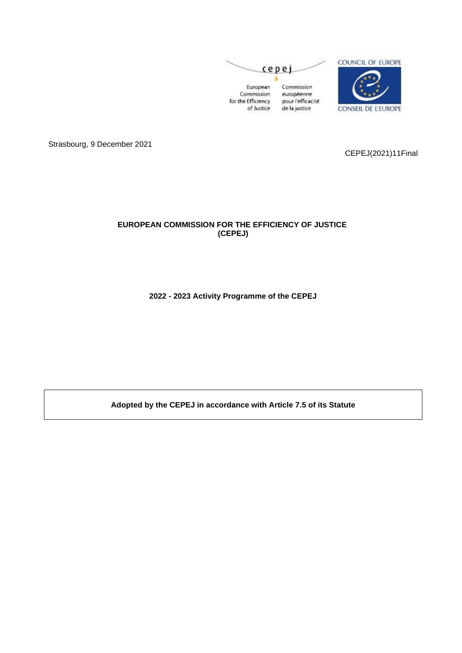

Strasbourg, 9 December 2021

CEPEJ(2021)11Final

## **EUROPEAN COMMISSION FOR THE EFFICIENCY OF JUSTICE (CEPEJ)**

**2022 - 2023 Activity Programme of the CEPEJ**

**Adopted by the CEPEJ in accordance with Article 7.5 of its Statute**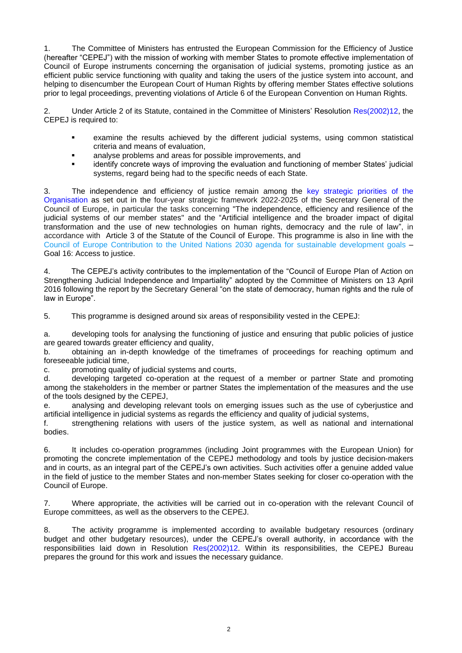1. The Committee of Ministers has entrusted the European Commission for the Efficiency of Justice (hereafter "CEPEJ") with the mission of working with member States to promote effective implementation of Council of Europe instruments concerning the organisation of judicial systems, promoting justice as an efficient public service functioning with quality and taking the users of the justice system into account, and helping to disencumber the European Court of Human Rights by offering member States effective solutions prior to legal proceedings, preventing violations of Article 6 of the European Convention on Human Rights.

2. Under Article 2 of its Statute, contained in the Committee of Ministers' Resolution [Res\(2002\)12,](https://search.coe.int/cm/Pages/result_details.aspx?Reference=Res(2002)12) the CEPEJ is required to:

- examine the results achieved by the different judicial systems, using common statistical criteria and means of evaluation,
- analyse problems and areas for possible improvements, and
- identify concrete ways of improving the evaluation and functioning of member States' judicial systems, regard being had to the specific needs of each State.

3. The independence and efficiency of justice remain among the [key strategic priorities](https://rm.coe.int/strategic-framework-of-the-council-of-europe/1680a07810) of the [Organisation](https://rm.coe.int/strategic-framework-of-the-council-of-europe/1680a07810) as set out in the four-year strategic framework 2022-2025 of the Secretary General of the Council of Europe, in particular the tasks concerning "The independence, efficiency and resilience of the judicial systems of our member states" and the "Artificial intelligence and the broader impact of digital transformation and the use of new technologies on human rights, democracy and the rule of law", in accordance with Article 3 of the Statute of the Council of Europe. This programme is also in line with the Council of Europe Contribution [to the United Nations 2030 agenda for sustainable development goals](https://www.coe.int/fr/web/un-agenda-2030) – Goal 16: Access to justice.

4. The CEPEJ's activity contributes to the implementation of the "Council of Europe Plan of Action on Strengthening Judicial Independence and Impartiality" adopted by the Committee of Ministers on 13 April 2016 following the report by the Secretary General "on the state of democracy, human rights and the rule of law in Europe".

5. This programme is designed around six areas of responsibility vested in the CEPEJ:

a. developing tools for analysing the functioning of justice and ensuring that public policies of justice are geared towards greater efficiency and quality,

b. obtaining an in-depth knowledge of the timeframes of proceedings for reaching optimum and foreseeable judicial time,

c. promoting quality of judicial systems and courts,

d. developing targeted co-operation at the request of a member or partner State and promoting among the stakeholders in the member or partner States the implementation of the measures and the use of the tools designed by the CEPEJ,

e. analysing and developing relevant tools on emerging issues such as the use of cyberjustice and artificial intelligence in judicial systems as regards the efficiency and quality of judicial systems,

f. strengthening relations with users of the justice system, as well as national and international bodies.

6. It includes co-operation programmes (including Joint programmes with the European Union) for promoting the concrete implementation of the CEPEJ methodology and tools by justice decision-makers and in courts, as an integral part of the CEPEJ's own activities. Such activities offer a genuine added value in the field of justice to the member States and non-member States seeking for closer co-operation with the Council of Europe.

7. Where appropriate, the activities will be carried out in co-operation with the relevant Council of Europe committees, as well as the observers to the CEPEJ.

8. The activity programme is implemented according to available budgetary resources (ordinary budget and other budgetary resources), under the CEPEJ's overall authority, in accordance with the responsibilities laid down in Resolution [Res\(2002\)12.](https://search.coe.int/cm/Pages/result_details.aspx?Reference=Res(2002)12) Within its responsibilities, the CEPEJ Bureau prepares the ground for this work and issues the necessary guidance.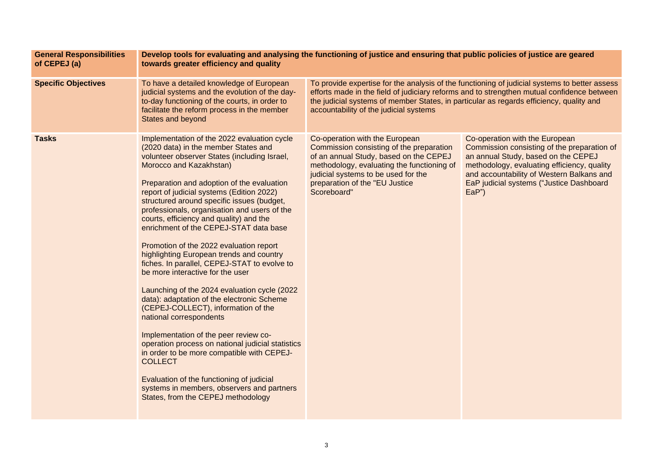| <b>General Responsibilities</b><br>of CEPEJ (a) | Develop tools for evaluating and analysing the functioning of justice and ensuring that public policies of justice are geared<br>towards greater efficiency and quality                                                                                                                                                                                                                                                                                                                                                                                                                                                                                                                                                                                                                                                                                                                                                                                                                                                                                                                 |                                                                                                                                                                                                                                                                                                                                  |                                                                                                                                                                                                                                                                      |  |
|-------------------------------------------------|-----------------------------------------------------------------------------------------------------------------------------------------------------------------------------------------------------------------------------------------------------------------------------------------------------------------------------------------------------------------------------------------------------------------------------------------------------------------------------------------------------------------------------------------------------------------------------------------------------------------------------------------------------------------------------------------------------------------------------------------------------------------------------------------------------------------------------------------------------------------------------------------------------------------------------------------------------------------------------------------------------------------------------------------------------------------------------------------|----------------------------------------------------------------------------------------------------------------------------------------------------------------------------------------------------------------------------------------------------------------------------------------------------------------------------------|----------------------------------------------------------------------------------------------------------------------------------------------------------------------------------------------------------------------------------------------------------------------|--|
| <b>Specific Objectives</b>                      | To have a detailed knowledge of European<br>judicial systems and the evolution of the day-<br>to-day functioning of the courts, in order to<br>facilitate the reform process in the member<br><b>States and beyond</b>                                                                                                                                                                                                                                                                                                                                                                                                                                                                                                                                                                                                                                                                                                                                                                                                                                                                  | To provide expertise for the analysis of the functioning of judicial systems to better assess<br>efforts made in the field of judiciary reforms and to strengthen mutual confidence between<br>the judicial systems of member States, in particular as regards efficiency, quality and<br>accountability of the judicial systems |                                                                                                                                                                                                                                                                      |  |
| <b>Tasks</b>                                    | Implementation of the 2022 evaluation cycle<br>(2020 data) in the member States and<br>volunteer observer States (including Israel,<br>Morocco and Kazakhstan)<br>Preparation and adoption of the evaluation<br>report of judicial systems (Edition 2022)<br>structured around specific issues (budget,<br>professionals, organisation and users of the<br>courts, efficiency and quality) and the<br>enrichment of the CEPEJ-STAT data base<br>Promotion of the 2022 evaluation report<br>highlighting European trends and country<br>fiches. In parallel, CEPEJ-STAT to evolve to<br>be more interactive for the user<br>Launching of the 2024 evaluation cycle (2022)<br>data): adaptation of the electronic Scheme<br>(CEPEJ-COLLECT), information of the<br>national correspondents<br>Implementation of the peer review co-<br>operation process on national judicial statistics<br>in order to be more compatible with CEPEJ-<br><b>COLLECT</b><br>Evaluation of the functioning of judicial<br>systems in members, observers and partners<br>States, from the CEPEJ methodology | Co-operation with the European<br>Commission consisting of the preparation<br>of an annual Study, based on the CEPEJ<br>methodology, evaluating the functioning of<br>judicial systems to be used for the<br>preparation of the "EU Justice<br>Scoreboard"                                                                       | Co-operation with the European<br>Commission consisting of the preparation of<br>an annual Study, based on the CEPEJ<br>methodology, evaluating efficiency, quality<br>and accountability of Western Balkans and<br>EaP judicial systems ("Justice Dashboard<br>EaP' |  |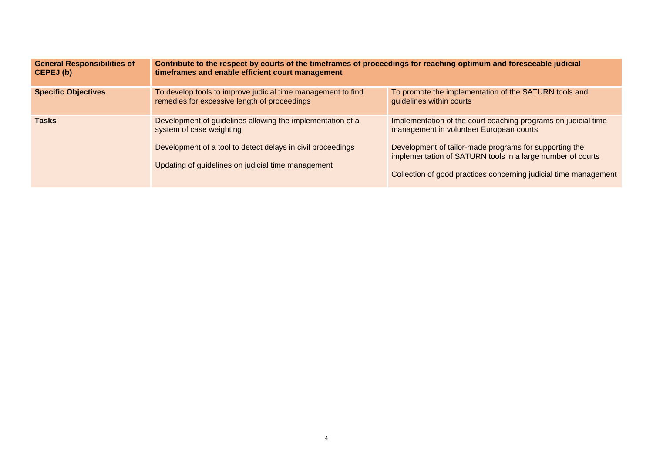| <b>General Responsibilities of</b><br>CEPEJ (b) | Contribute to the respect by courts of the timeframes of proceedings for reaching optimum and foreseeable judicial<br>timeframes and enable efficient court management                                      |                                                                                                                                                                                                                                                                                                       |  |
|-------------------------------------------------|-------------------------------------------------------------------------------------------------------------------------------------------------------------------------------------------------------------|-------------------------------------------------------------------------------------------------------------------------------------------------------------------------------------------------------------------------------------------------------------------------------------------------------|--|
| <b>Specific Objectives</b>                      | To develop tools to improve judicial time management to find<br>remedies for excessive length of proceedings                                                                                                | To promote the implementation of the SATURN tools and<br>guidelines within courts                                                                                                                                                                                                                     |  |
| <b>Tasks</b>                                    | Development of guidelines allowing the implementation of a<br>system of case weighting<br>Development of a tool to detect delays in civil proceedings<br>Updating of guidelines on judicial time management | Implementation of the court coaching programs on judicial time<br>management in volunteer European courts<br>Development of tailor-made programs for supporting the<br>implementation of SATURN tools in a large number of courts<br>Collection of good practices concerning judicial time management |  |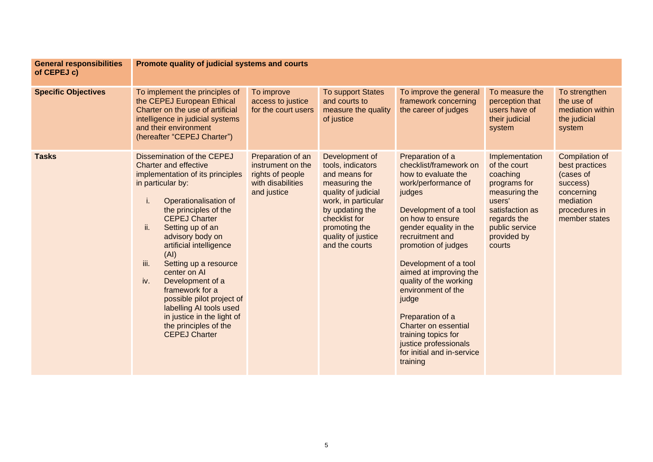| <b>General responsibilities</b><br>of CEPEJ c) | Promote quality of judicial systems and courts                                                                                                                                                                                                                                                                                                                                                                                                                                                                              |                                                                                                |                                                                                                                                                                                                                  |                                                                                                                                                                                                                                                                                                                                                                                                                                                                              |                                                                                                                                                                    |                                                                                                                               |
|------------------------------------------------|-----------------------------------------------------------------------------------------------------------------------------------------------------------------------------------------------------------------------------------------------------------------------------------------------------------------------------------------------------------------------------------------------------------------------------------------------------------------------------------------------------------------------------|------------------------------------------------------------------------------------------------|------------------------------------------------------------------------------------------------------------------------------------------------------------------------------------------------------------------|------------------------------------------------------------------------------------------------------------------------------------------------------------------------------------------------------------------------------------------------------------------------------------------------------------------------------------------------------------------------------------------------------------------------------------------------------------------------------|--------------------------------------------------------------------------------------------------------------------------------------------------------------------|-------------------------------------------------------------------------------------------------------------------------------|
| <b>Specific Objectives</b>                     | To implement the principles of<br>the CEPEJ European Ethical<br>Charter on the use of artificial<br>intelligence in judicial systems<br>and their environment<br>(hereafter "CEPEJ Charter")                                                                                                                                                                                                                                                                                                                                | To improve<br>access to justice<br>for the court users                                         | <b>To support States</b><br>and courts to<br>measure the quality<br>of justice                                                                                                                                   | To improve the general<br>framework concerning<br>the career of judges                                                                                                                                                                                                                                                                                                                                                                                                       | To measure the<br>perception that<br>users have of<br>their judicial<br>system                                                                                     | To strengthen<br>the use of<br>mediation within<br>the judicial<br>system                                                     |
| <b>Tasks</b>                                   | Dissemination of the CEPEJ<br><b>Charter and effective</b><br>implementation of its principles<br>in particular by:<br>Operationalisation of<br>T.<br>the principles of the<br><b>CEPEJ Charter</b><br>ii.<br>Setting up of an<br>advisory body on<br>artificial intelligence<br>(AI)<br>iii.<br>Setting up a resource<br>center on Al<br>iv.<br>Development of a<br>framework for a<br>possible pilot project of<br>labelling AI tools used<br>in justice in the light of<br>the principles of the<br><b>CEPEJ Charter</b> | Preparation of an<br>instrument on the<br>rights of people<br>with disabilities<br>and justice | Development of<br>tools, indicators<br>and means for<br>measuring the<br>quality of judicial<br>work, in particular<br>by updating the<br>checklist for<br>promoting the<br>quality of justice<br>and the courts | Preparation of a<br>checklist/framework on<br>how to evaluate the<br>work/performance of<br>judges<br>Development of a tool<br>on how to ensure<br>gender equality in the<br>recruitment and<br>promotion of judges<br>Development of a tool<br>aimed at improving the<br>quality of the working<br>environment of the<br>judge<br>Preparation of a<br><b>Charter on essential</b><br>training topics for<br>justice professionals<br>for initial and in-service<br>training | Implementation<br>of the court<br>coaching<br>programs for<br>measuring the<br>users'<br>satisfaction as<br>regards the<br>public service<br>provided by<br>courts | <b>Compilation of</b><br>best practices<br>(cases of<br>success)<br>concerning<br>mediation<br>procedures in<br>member states |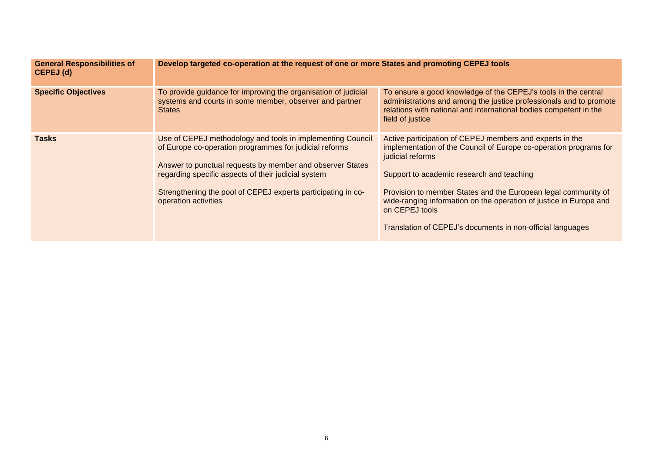| <b>General Responsibilities of</b><br>CEPEJ (d) | Develop targeted co-operation at the request of one or more States and promoting CEPEJ tools                                                                                                                                                                                                                                     |                                                                                                                                                                                                                                                                                                                                                                                                                        |  |
|-------------------------------------------------|----------------------------------------------------------------------------------------------------------------------------------------------------------------------------------------------------------------------------------------------------------------------------------------------------------------------------------|------------------------------------------------------------------------------------------------------------------------------------------------------------------------------------------------------------------------------------------------------------------------------------------------------------------------------------------------------------------------------------------------------------------------|--|
| <b>Specific Objectives</b>                      | To provide guidance for improving the organisation of judicial<br>systems and courts in some member, observer and partner<br><b>States</b>                                                                                                                                                                                       | To ensure a good knowledge of the CEPEJ's tools in the central<br>administrations and among the justice professionals and to promote<br>relations with national and international bodies competent in the<br>field of justice                                                                                                                                                                                          |  |
| <b>Tasks</b>                                    | Use of CEPEJ methodology and tools in implementing Council<br>of Europe co-operation programmes for judicial reforms<br>Answer to punctual requests by member and observer States<br>regarding specific aspects of their judicial system<br>Strengthening the pool of CEPEJ experts participating in co-<br>operation activities | Active participation of CEPEJ members and experts in the<br>implementation of the Council of Europe co-operation programs for<br>judicial reforms<br>Support to academic research and teaching<br>Provision to member States and the European legal community of<br>wide-ranging information on the operation of justice in Europe and<br>on CEPEJ tools<br>Translation of CEPEJ's documents in non-official languages |  |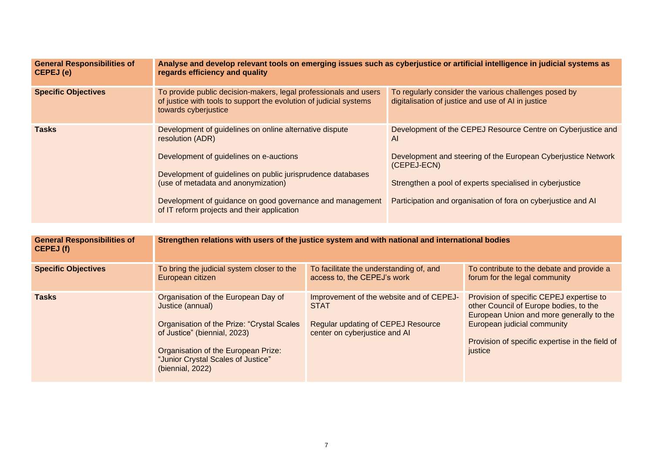| <b>General Responsibilities of</b><br>CEPEJ (e) | Analyse and develop relevant tools on emerging issues such as cyberjustice or artificial intelligence in judicial systems as<br>regards efficiency and quality                                                                                                                                                                           |                                                                                                      |                                                                                                                                                                                                                                                                                 |                                                                                                                                                               |
|-------------------------------------------------|------------------------------------------------------------------------------------------------------------------------------------------------------------------------------------------------------------------------------------------------------------------------------------------------------------------------------------------|------------------------------------------------------------------------------------------------------|---------------------------------------------------------------------------------------------------------------------------------------------------------------------------------------------------------------------------------------------------------------------------------|---------------------------------------------------------------------------------------------------------------------------------------------------------------|
| <b>Specific Objectives</b>                      | To provide public decision-makers, legal professionals and users<br>of justice with tools to support the evolution of judicial systems<br>towards cyberjustice                                                                                                                                                                           |                                                                                                      | To regularly consider the various challenges posed by<br>digitalisation of justice and use of AI in justice                                                                                                                                                                     |                                                                                                                                                               |
| <b>Tasks</b>                                    | Development of guidelines on online alternative dispute<br>resolution (ADR)<br>Development of guidelines on e-auctions<br>Development of guidelines on public jurisprudence databases<br>(use of metadata and anonymization)<br>Development of guidance on good governance and management<br>of IT reform projects and their application |                                                                                                      | Development of the CEPEJ Resource Centre on Cyberjustice and<br>AI<br>Development and steering of the European Cyberjustice Network<br>(CEPEJ-ECN)<br>Strengthen a pool of experts specialised in cyberjustice<br>Participation and organisation of fora on cyberjustice and AI |                                                                                                                                                               |
| <b>General Responsibilities of</b><br>CEPEJ (f) | Strengthen relations with users of the justice system and with national and international bodies                                                                                                                                                                                                                                         |                                                                                                      |                                                                                                                                                                                                                                                                                 |                                                                                                                                                               |
| <b>Specific Objectives</b>                      | To bring the judicial system closer to the<br>European citizen                                                                                                                                                                                                                                                                           | To facilitate the understanding of, and<br>access to, the CEPEJ's work                               |                                                                                                                                                                                                                                                                                 | To contribute to the debate and provide a<br>forum for the legal community                                                                                    |
| <b>Tasks</b>                                    | Organisation of the European Day of<br>Justice (annual)<br>Organisation of the Prize: "Crystal Scales                                                                                                                                                                                                                                    | Improvement of the website and of CEPEJ-<br><b>STAT</b><br><b>Regular updating of CEPEJ Resource</b> |                                                                                                                                                                                                                                                                                 | Provision of specific CEPEJ expertise to<br>other Council of Europe bodies, to the<br>European Union and more generally to the<br>European judicial community |

Provision of specific expertise in the field of justice

center on cyberjustice and AI

Organisation of the European Prize: "Junior Crystal Scales of Justice"

of Justice" (biennial, 2023)

(biennial, 2022)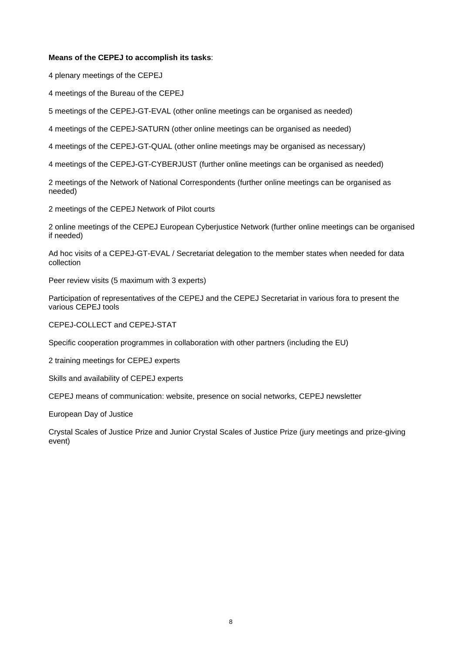#### **Means of the CEPEJ to accomplish its tasks**:

4 plenary meetings of the CEPEJ

4 meetings of the Bureau of the CEPEJ

5 meetings of the CEPEJ-GT-EVAL (other online meetings can be organised as needed)

4 meetings of the CEPEJ-SATURN (other online meetings can be organised as needed)

4 meetings of the CEPEJ-GT-QUAL (other online meetings may be organised as necessary)

4 meetings of the CEPEJ-GT-CYBERJUST (further online meetings can be organised as needed)

2 meetings of the Network of National Correspondents (further online meetings can be organised as needed)

2 meetings of the CEPEJ Network of Pilot courts

2 online meetings of the CEPEJ European Cyberjustice Network (further online meetings can be organised if needed)

Ad hoc visits of a CEPEJ-GT-EVAL / Secretariat delegation to the member states when needed for data collection

Peer review visits (5 maximum with 3 experts)

Participation of representatives of the CEPEJ and the CEPEJ Secretariat in various fora to present the various CEPEJ tools

CEPEJ-COLLECT and CEPEJ-STAT

Specific cooperation programmes in collaboration with other partners (including the EU)

2 training meetings for CEPEJ experts

Skills and availability of CEPEJ experts

CEPEJ means of communication: website, presence on social networks, CEPEJ newsletter

European Day of Justice

Crystal Scales of Justice Prize and Junior Crystal Scales of Justice Prize (jury meetings and prize-giving event)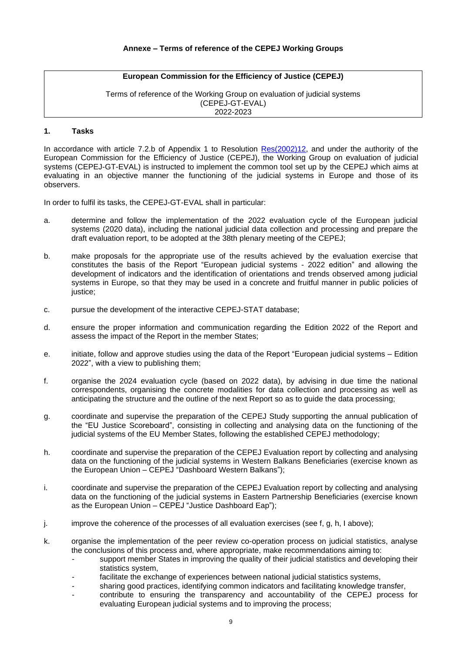Terms of reference of the Working Group on evaluation of judicial systems (CEPEJ-GT-EVAL) 2022-2023

#### **1. Tasks**

In accordance with article 7.2.b of Appendix 1 to Resolution [Res\(2002\)12,](https://search.coe.int/cm/Pages/result_details.aspx?Reference=Res(2002)12) and under the authority of the European Commission for the Efficiency of Justice (CEPEJ), the Working Group on evaluation of judicial systems (CEPEJ-GT-EVAL) is instructed to implement the common tool set up by the CEPEJ which aims at evaluating in an objective manner the functioning of the judicial systems in Europe and those of its observers.

In order to fulfil its tasks, the CEPEJ-GT-EVAL shall in particular:

- a. determine and follow the implementation of the 2022 evaluation cycle of the European judicial systems (2020 data), including the national judicial data collection and processing and prepare the draft evaluation report, to be adopted at the 38th plenary meeting of the CEPEJ;
- b. make proposals for the appropriate use of the results achieved by the evaluation exercise that constitutes the basis of the Report "European judicial systems - 2022 edition" and allowing the development of indicators and the identification of orientations and trends observed among judicial systems in Europe, so that they may be used in a concrete and fruitful manner in public policies of justice;
- c. pursue the development of the interactive CEPEJ-STAT database;
- d. ensure the proper information and communication regarding the Edition 2022 of the Report and assess the impact of the Report in the member States;
- e. initiate, follow and approve studies using the data of the Report "European judicial systems Edition 2022", with a view to publishing them;
- f. organise the 2024 evaluation cycle (based on 2022 data), by advising in due time the national correspondents, organising the concrete modalities for data collection and processing as well as anticipating the structure and the outline of the next Report so as to guide the data processing;
- g. coordinate and supervise the preparation of the CEPEJ Study supporting the annual publication of the "EU Justice Scoreboard", consisting in collecting and analysing data on the functioning of the judicial systems of the EU Member States, following the established CEPEJ methodology;
- h. coordinate and supervise the preparation of the CEPEJ Evaluation report by collecting and analysing data on the functioning of the judicial systems in Western Balkans Beneficiaries (exercise known as the European Union – CEPEJ "Dashboard Western Balkans");
- i. coordinate and supervise the preparation of the CEPEJ Evaluation report by collecting and analysing data on the functioning of the judicial systems in Eastern Partnership Beneficiaries (exercise known as the European Union – CEPEJ "Justice Dashboard Eap");
- $j.$  improve the coherence of the processes of all evaluation exercises (see f, g, h, I above);
- k. organise the implementation of the peer review co-operation process on judicial statistics, analyse the conclusions of this process and, where appropriate, make recommendations aiming to:
	- support member States in improving the quality of their judicial statistics and developing their statistics system,
	- facilitate the exchange of experiences between national judicial statistics systems,
	- sharing good practices, identifying common indicators and facilitating knowledge transfer, - contribute to ensuring the transparency and accountability of the CEPEJ process for
	- evaluating European judicial systems and to improving the process;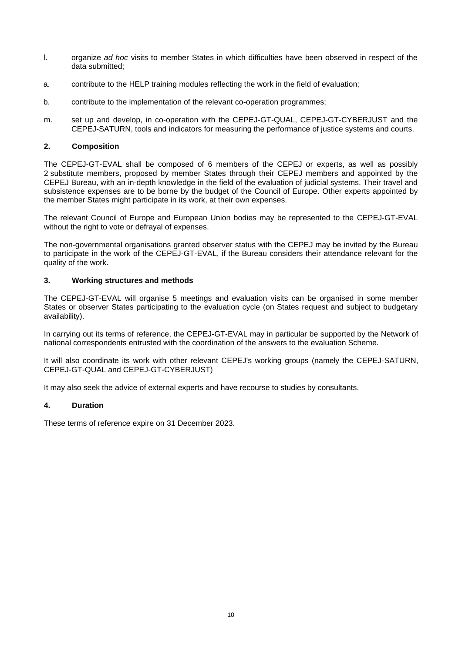- l. organize *ad hoc* visits to member States in which difficulties have been observed in respect of the data submitted;
- a. contribute to the HELP training modules reflecting the work in the field of evaluation;
- b. contribute to the implementation of the relevant co-operation programmes;
- m. set up and develop, in co-operation with the CEPEJ-GT-QUAL, CEPEJ-GT-CYBERJUST and the CEPEJ-SATURN, tools and indicators for measuring the performance of justice systems and courts.

## **2. Composition**

The CEPEJ-GT-EVAL shall be composed of 6 members of the CEPEJ or experts, as well as possibly 2 substitute members, proposed by member States through their CEPEJ members and appointed by the CEPEJ Bureau, with an in-depth knowledge in the field of the evaluation of judicial systems. Their travel and subsistence expenses are to be borne by the budget of the Council of Europe. Other experts appointed by the member States might participate in its work, at their own expenses.

The relevant Council of Europe and European Union bodies may be represented to the CEPEJ-GT-EVAL without the right to vote or defrayal of expenses.

The non-governmental organisations granted observer status with the CEPEJ may be invited by the Bureau to participate in the work of the CEPEJ-GT-EVAL, if the Bureau considers their attendance relevant for the quality of the work.

## **3. Working structures and methods**

The CEPEJ-GT-EVAL will organise 5 meetings and evaluation visits can be organised in some member States or observer States participating to the evaluation cycle (on States request and subject to budgetary availability).

In carrying out its terms of reference, the CEPEJ-GT-EVAL may in particular be supported by the Network of national correspondents entrusted with the coordination of the answers to the evaluation Scheme.

It will also coordinate its work with other relevant CEPEJ's working groups (namely the CEPEJ-SATURN, CEPEJ-GT-QUAL and CEPEJ-GT-CYBERJUST)

It may also seek the advice of external experts and have recourse to studies by consultants.

## **4. Duration**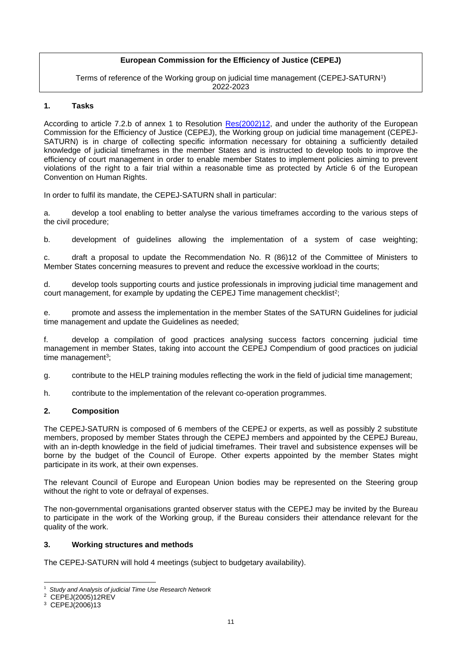Terms of reference of the Working group on judicial time management (CEPEJ-SATURN $^{\prime})$ 2022-2023

## **1. Tasks**

According to article 7.2.b of annex 1 to Resolution [Res\(2002\)12,](https://search.coe.int/cm/Pages/result_details.aspx?Reference=Res(2002)12) and under the authority of the European Commission for the Efficiency of Justice (CEPEJ), the Working group on judicial time management (CEPEJ-SATURN) is in charge of collecting specific information necessary for obtaining a sufficiently detailed knowledge of judicial timeframes in the member States and is instructed to develop tools to improve the efficiency of court management in order to enable member States to implement policies aiming to prevent violations of the right to a fair trial within a reasonable time as protected by Article 6 of the European Convention on Human Rights.

In order to fulfil its mandate, the CEPEJ-SATURN shall in particular:

a. develop a tool enabling to better analyse the various timeframes according to the various steps of the civil procedure;

b. development of guidelines allowing the implementation of a system of case weighting;

c. draft a proposal to update the Recommendation No. R (86)12 of the Committee of Ministers to Member States concerning measures to prevent and reduce the excessive workload in the courts;

d. develop tools supporting courts and justice professionals in improving judicial time management and court management, for example by updating the CEPEJ Time management checklist<sup>2</sup>;

e. promote and assess the implementation in the member States of the SATURN Guidelines for judicial time management and update the Guidelines as needed;

f. develop a compilation of good practices analysing success factors concerning judicial time management in member States, taking into account the CEPEJ Compendium of good practices on judicial time management<sup>3</sup>;

g. contribute to the HELP training modules reflecting the work in the field of judicial time management;

h. contribute to the implementation of the relevant co-operation programmes.

## **2. Composition**

The CEPEJ-SATURN is composed of 6 members of the CEPEJ or experts, as well as possibly 2 substitute members, proposed by member States through the CEPEJ members and appointed by the CEPEJ Bureau, with an in-depth knowledge in the field of judicial timeframes. Their travel and subsistence expenses will be borne by the budget of the Council of Europe. Other experts appointed by the member States might participate in its work, at their own expenses.

The relevant Council of Europe and European Union bodies may be represented on the Steering group without the right to vote or defrayal of expenses.

The non-governmental organisations granted observer status with the CEPEJ may be invited by the Bureau to participate in the work of the Working group, if the Bureau considers their attendance relevant for the quality of the work.

#### **3. Working structures and methods**

The CEPEJ-SATURN will hold 4 meetings (subject to budgetary availability).

<sup>1</sup> *Study and Analysis of judicial Time Use Research Network*

<sup>2</sup> CEPEJ(2005)12REV

<sup>3</sup> CEPEJ(2006)13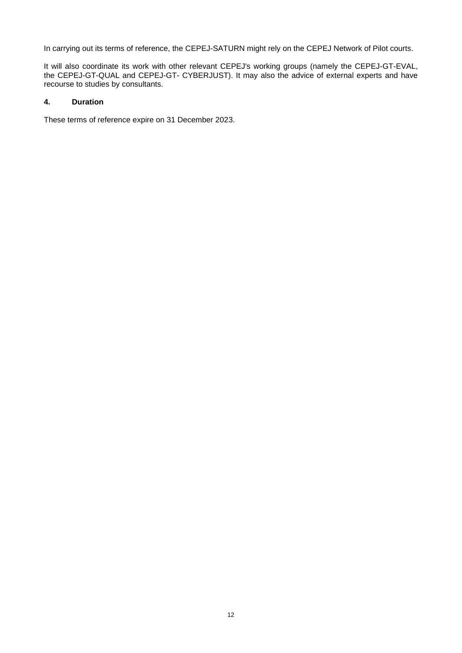In carrying out its terms of reference, the CEPEJ-SATURN might rely on the CEPEJ Network of Pilot courts.

It will also coordinate its work with other relevant CEPEJ's working groups (namely the CEPEJ-GT-EVAL, the CEPEJ-GT-QUAL and CEPEJ-GT- CYBERJUST). It may also the advice of external experts and have recourse to studies by consultants.

# **4. Duration**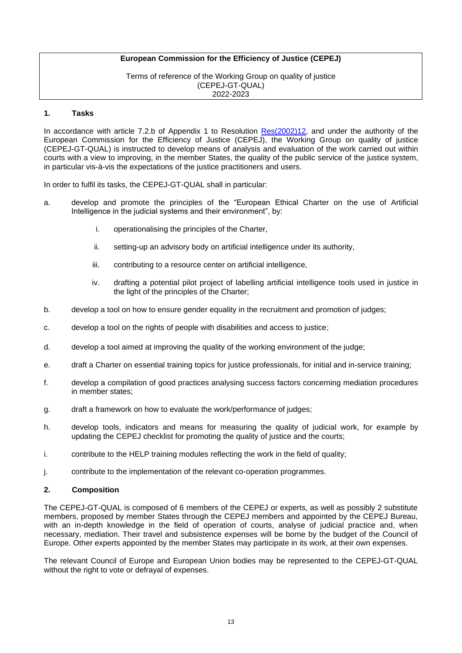Terms of reference of the Working Group on quality of justice (CEPEJ-GT-QUAL) 2022-2023

#### **1. Tasks**

In accordance with article 7.2.b of Appendix 1 to Resolution [Res\(2002\)12,](https://search.coe.int/cm/Pages/result_details.aspx?Reference=Res(2002)12) and under the authority of the European Commission for the Efficiency of Justice (CEPEJ), the Working Group on quality of justice (CEPEJ-GT-QUAL) is instructed to develop means of analysis and evaluation of the work carried out within courts with a view to improving, in the member States, the quality of the public service of the justice system, in particular vis-à-vis the expectations of the justice practitioners and users.

In order to fulfil its tasks, the CEPEJ-GT-QUAL shall in particular:

- a. develop and promote the principles of the "European Ethical Charter on the use of Artificial Intelligence in the judicial systems and their environment", by:
	- i. operationalising the principles of the Charter,
	- ii. setting-up an advisory body on artificial intelligence under its authority,
	- iii. contributing to a resource center on artificial intelligence,
	- iv. drafting a potential pilot project of labelling artificial intelligence tools used in justice in the light of the principles of the Charter;
- b. develop a tool on how to ensure gender equality in the recruitment and promotion of judges;
- c. develop a tool on the rights of people with disabilities and access to justice;
- d. develop a tool aimed at improving the quality of the working environment of the judge;
- e. draft a Charter on essential training topics for justice professionals, for initial and in-service training;
- f. develop a compilation of good practices analysing success factors concerning mediation procedures in member states;
- g. draft a framework on how to evaluate the work/performance of judges;
- h. develop tools, indicators and means for measuring the quality of judicial work, for example by updating the CEPEJ checklist for promoting the quality of justice and the courts;
- i. contribute to the HELP training modules reflecting the work in the field of quality;
- j. contribute to the implementation of the relevant co-operation programmes.

#### **2. Composition**

The CEPEJ-GT-QUAL is composed of 6 members of the CEPEJ or experts, as well as possibly 2 substitute members, proposed by member States through the CEPEJ members and appointed by the CEPEJ Bureau, with an in-depth knowledge in the field of operation of courts, analyse of judicial practice and, when necessary, mediation. Their travel and subsistence expenses will be borne by the budget of the Council of Europe. Other experts appointed by the member States may participate in its work, at their own expenses.

The relevant Council of Europe and European Union bodies may be represented to the CEPEJ-GT-QUAL without the right to vote or defrayal of expenses.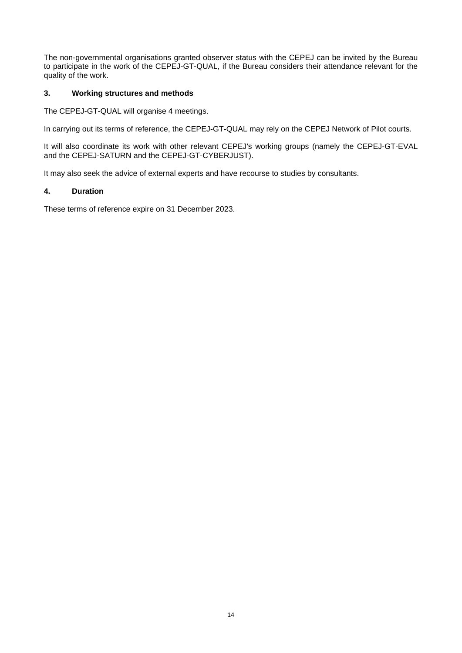The non-governmental organisations granted observer status with the CEPEJ can be invited by the Bureau to participate in the work of the CEPEJ-GT-QUAL, if the Bureau considers their attendance relevant for the quality of the work.

## **3. Working structures and methods**

The CEPEJ-GT-QUAL will organise 4 meetings.

In carrying out its terms of reference, the CEPEJ-GT-QUAL may rely on the CEPEJ Network of Pilot courts.

It will also coordinate its work with other relevant CEPEJ's working groups (namely the CEPEJ-GT-EVAL and the CEPEJ-SATURN and the CEPEJ-GT-CYBERJUST).

It may also seek the advice of external experts and have recourse to studies by consultants.

# **4. Duration**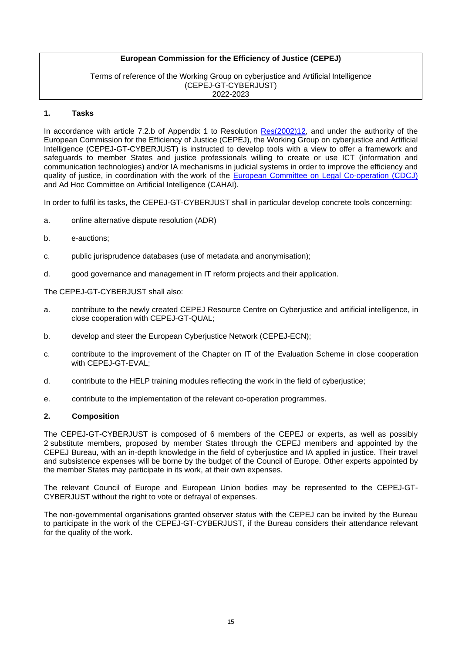Terms of reference of the Working Group on cyberjustice and Artificial Intelligence (CEPEJ-GT-CYBERJUST) 2022-2023

#### **1. Tasks**

In accordance with article 7.2.b of Appendix 1 to Resolution [Res\(2002\)12,](https://search.coe.int/cm/Pages/result_details.aspx?Reference=Res(2002)12) and under the authority of the European Commission for the Efficiency of Justice (CEPEJ), the Working Group on cyberjustice and Artificial Intelligence (CEPEJ-GT-CYBERJUST) is instructed to develop tools with a view to offer a framework and safeguards to member States and justice professionals willing to create or use ICT (information and communication technologies) and/or IA mechanisms in judicial systems in order to improve the efficiency and quality of justice, in coordination with the work of the [European Committee on Legal Co-operation \(CDCJ\)](https://www.coe.int/en/web/cdcj/european-committee-legal-cooperation) and Ad Hoc Committee on Artificial Intelligence (CAHAI).

In order to fulfil its tasks, the CEPEJ-GT-CYBERJUST shall in particular develop concrete tools concerning:

- a. online alternative dispute resolution (ADR)
- b. e-auctions;
- c. public jurisprudence databases (use of metadata and anonymisation);
- d. good governance and management in IT reform projects and their application.

The CEPEJ-GT-CYBERJUST shall also:

- a. contribute to the newly created CEPEJ Resource Centre on Cyberjustice and artificial intelligence, in close cooperation with CEPEJ-GT-QUAL;
- b. develop and steer the European Cyberjustice Network (CEPEJ-ECN);
- c. contribute to the improvement of the Chapter on IT of the Evaluation Scheme in close cooperation with CEPEJ-GT-EVAL;
- d. contribute to the HELP training modules reflecting the work in the field of cyberjustice;
- e. contribute to the implementation of the relevant co-operation programmes.

#### **2. Composition**

The CEPEJ-GT-CYBERJUST is composed of 6 members of the CEPEJ or experts, as well as possibly 2 substitute members, proposed by member States through the CEPEJ members and appointed by the CEPEJ Bureau, with an in-depth knowledge in the field of cyberjustice and IA applied in justice. Their travel and subsistence expenses will be borne by the budget of the Council of Europe. Other experts appointed by the member States may participate in its work, at their own expenses.

The relevant Council of Europe and European Union bodies may be represented to the CEPEJ-GT-CYBERJUST without the right to vote or defrayal of expenses.

The non-governmental organisations granted observer status with the CEPEJ can be invited by the Bureau to participate in the work of the CEPEJ-GT-CYBERJUST, if the Bureau considers their attendance relevant for the quality of the work.